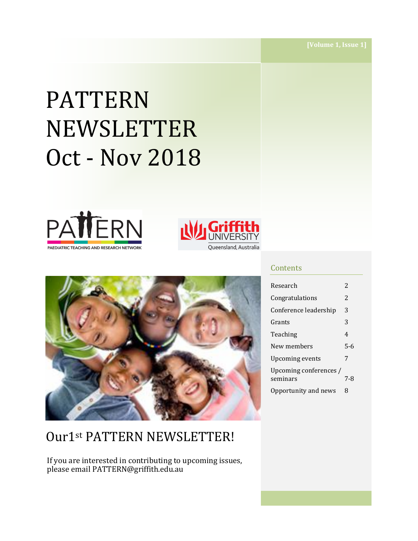# PATTERN NEWSLETTER Oct - Nov 2018







# Our1st PATTERN NEWSLETTER!

If you are interested in contributing to upcoming issues, please email PATTERN@griffith.edu.au

#### **Contents**

| Research                           | 2   |
|------------------------------------|-----|
| Congratulations                    | 2   |
| Conference leadership              | 3   |
| Grants                             | 3   |
| Teaching                           | 4   |
| New members                        | 5-6 |
| Upcoming events                    | 7   |
| Upcoming conferences /<br>seminars | 7-8 |
| Opportunity and news               | 8   |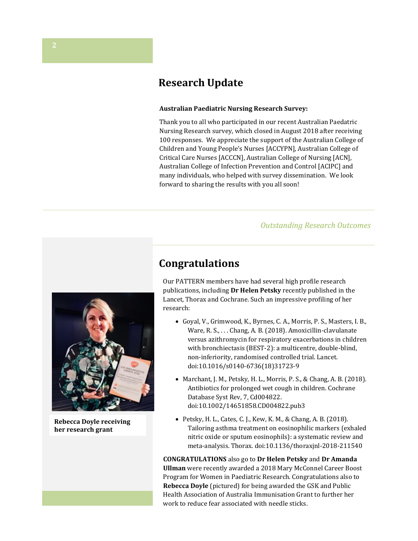## **Research Update**

#### **Australian Paediatric Nursing Research Survey:**

Thank you to all who participated in our recent Australian Paedatric Nursing Research survey, which closed in August 2018 after receiving 100 responses. We appreciate the support of the Australian College of Children and Young People's Nurses [ACCYPN], Australian College of Critical Care Nurses [ACCCN], Australian College of Nursing [ACN], Australian College of Infection Prevention and Control [ACIPC] and many individuals, who helped with survey dissemination. We look forward to sharing the results with you all soon!

#### *Outstanding Research Outcomes*

## **Congratulations**

Our PATTERN members have had several high profile research publications, including **Dr Helen Petsky** recently published in the Lancet, Thorax and Cochrane. Such an impressive profiling of her research:

- Goyal, V., Grimwood, K., Byrnes, C. A., Morris, P. S., Masters, I. B., Ware, R. S., . . . Chang, A. B. (2018). Amoxicillin-clavulanate versus azithromycin for respiratory exacerbations in children with bronchiectasis (BEST-2): a multicentre, double-blind, non-inferiority, randomised controlled trial. Lancet. doi:10.1016/s0140-6736(18)31723-9
- Marchant, J. M., Petsky, H. L., Morris, P. S., & Chang, A. B. (2018). Antibiotics for prolonged wet cough in children. Cochrane Database Syst Rev, 7, Cd004822. doi:10.1002/14651858.CD004822.pub3
- Petsky, H. L., Cates, C. J., Kew, K. M., & Chang, A. B. (2018). Tailoring asthma treatment on eosinophilic markers (exhaled nitric oxide or sputum eosinophils): a systematic review and meta-analysis. Thorax. doi:10.1136/thoraxjnl-2018-211540

**CONGRATULATIONS** also go to **Dr Helen Petsky** and **Dr Amanda Ullman** were recently awarded a 2018 Mary McConnel Career Boost Program for Women in Paediatric Research. Congratulations also to **Rebecca Doyle** (pictured) for being awarded the GSK and Public Health Association of Australia Immunisation Grant to further her work to reduce fear associated with needle sticks.



**Rebecca Doyle receiving her research grant**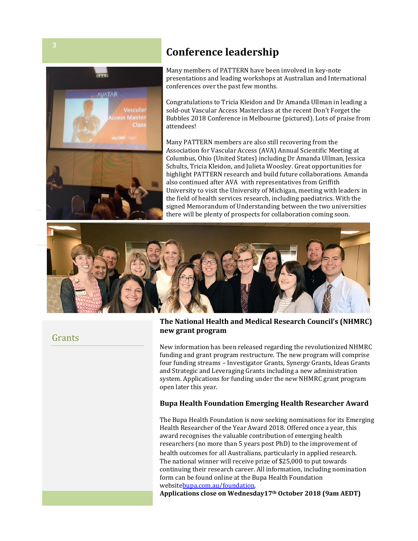

## **Conference leadership**

presentations and leading workshops :<br>conferences over the past few months. Many members of PATTERN have been involved in key-note presentations and leading workshops at Australian and International

Congratulations to Tricia Kleidon and Dr Amanda Ullman in leading a sold-out Vascular Access Masterclass at the recent Don't Forget the Bubbles 2018 Conference in Melbourne (pictured). Lots of praise from attendees!

Many PATTERN members are also still recovering from the Association for Vascular Access (AVA) Annual Scientific Meeting at Columbus, Ohio (United States) including Dr Amanda Ullman, Jessica Schults, Tricia Kleidon, and Julieta Woosley. Great opportunities for highlight PATTERN research and build future collaborations. Amanda also continued after AVA with representatives from Griffith University to visit the University of Michigan, meeting with leaders in the field of health services research, including paediatrics. With the signed Memorandum of Understanding between the two universities there will be plenty of prospects for collaboration coming soon.



## Grants

#### **The National Health and Medical Research Council's (NHMRC) new grant program**

New information has been released regarding the revolutionized NHMRC funding and grant program restructure. The new program will comprise four funding streams – Investigator Grants, Synergy Grants, Ideas Grants and Strategic and Leveraging Grants including a new administration system. Applications for funding under the new NHMRC grant program open later this year.

#### **Bupa Health Foundation Emerging Health Researcher Award**

The Bupa Health Foundation is now seeking nominations for its Emerging Health Researcher of the Year Award 2018. Offered once a year, this award recognises the valuable contribution of emerging health researchers (no more than 5 years post PhD) to the improvement of health outcomes for all Australians, particularly in applied research. The national winner will receive prize of \$25,000 to put towards continuing their research career. All information, including nomination form can be found online at the Bupa Health Foundation websit[ebupa.com.au/foundation.](https://protect-au.mimecast.com/s/36jCCOMxVEHZBWMwFvfnP8?domain=bupa.com.au)

**Applications close on Wednesday17th October 2018 (9am AEDT)**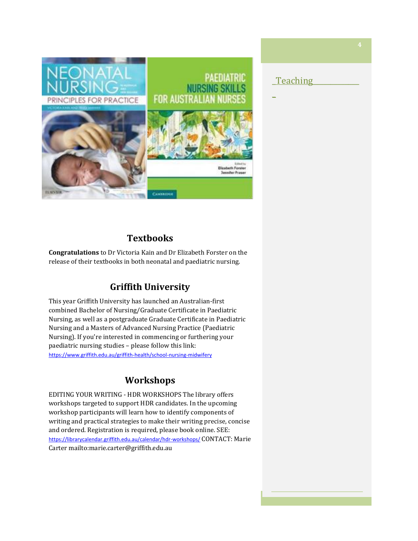

### Teaching

 $\overline{a}$ 

**Textbooks**

**Congratulations** to Dr Victoria Kain and Dr Elizabeth Forster on the release of their textbooks in both neonatal and paediatric nursing.

## **Griffith University**

This year Griffith University has launched an Australian-first combined Bachelor of Nursing/Graduate Certificate in Paediatric Nursing, as well as a postgraduate Graduate Certificate in Paediatric Nursing and a Masters of Advanced Nursing Practice (Paediatric Nursing). If you're interested in commencing or furthering your paediatric nursing studies – please follow this link: <https://www.griffith.edu.au/griffith-health/school-nursing-midwifery>

## **Workshops**

EDITING YOUR WRITING - HDR WORKSHOPS The library offers workshops targeted to support HDR candidates. In the upcoming workshop participants will learn how to identify components of writing and practical strategies to make their writing precise, concise and ordered. Registration is required, please book online. SEE: <https://librarycalendar.griffith.edu.au/calendar/hdr-workshops/> CONTACT: Marie Carte[r mailto:marie.carter@griffith.edu.au](mailto:marie.carter@griffith.edu.au)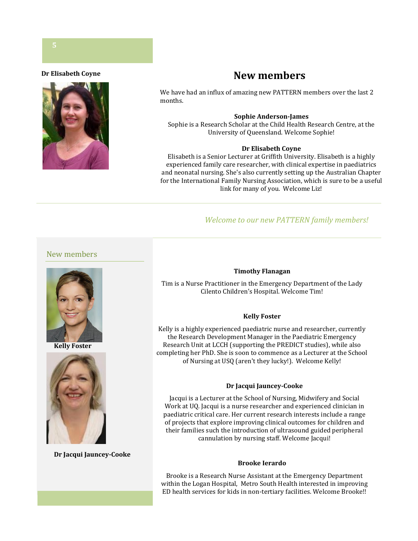#### **Dr Elisabeth Coyne**



## **New members**

We have had an influx of amazing new PATTERN members over the last 2 months.

#### **Sophie Anderson-James**

Sophie is a Research Scholar at the Child Health Research Centre, at the University of Queensland. Welcome Sophie!

#### **Dr Elisabeth Coyne**

Elisabeth is a Senior Lecturer at Griffith University. Elisabeth is a highly experienced family care researcher, with clinical expertise in paediatrics and neonatal nursing. She's also currently setting up the Australian Chapter for the International Family Nursing Association, which is sure to be a useful link for many of you. Welcome Liz!

#### *Welcome to our new PATTERN family members!*

#### New members



**Kelly Foster**



**Dr Jacqui Jauncey-Cooke**

#### **Timothy Flanagan**

Tim is a Nurse Practitioner in the Emergency Department of the Lady Cilento Children's Hospital. Welcome Tim!

#### **Kelly Foster**

Kelly is a highly experienced paediatric nurse and researcher, currently the Research Development Manager in the Paediatric Emergency Research Unit at LCCH (supporting the PREDICT studies), while also completing her PhD. She is soon to commence as a Lecturer at the School of Nursing at USQ (aren't they lucky!). Welcome Kelly!

#### **Dr Jacqui Jauncey-Cooke**

Jacqui is a Lecturer at the School of Nursing, Midwifery and Social Work at UQ. Jacqui is a nurse researcher and experienced clinician in paediatric critical care. Her current research interests include a range of projects that explore improving clinical outcomes for children and their families such the introduction of ultrasound guided peripheral cannulation by nursing staff. Welcome Jacqui!

#### **Brooke Ierardo**

Brooke is a Research Nurse Assistant at the Emergency Department within the Logan Hospital, Metro South Health interested in improving ED health services for kids in non-tertiary facilities. Welcome Brooke!!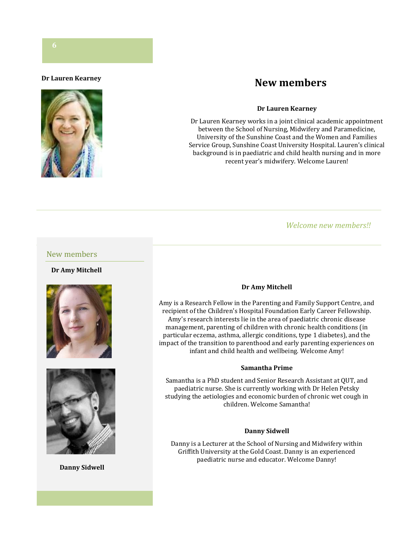#### **Dr Lauren Kearney**



## **New members**

#### **Dr Lauren Kearney**

Dr Lauren Kearney works in a joint clinical academic appointment between the School of Nursing, Midwifery and Paramedicine, University of the Sunshine Coast and the Women and Families Service Group, Sunshine Coast University Hospital. Lauren's clinical background is in paediatric and child health nursing and in more recent year's midwifery. Welcome Lauren!

#### *Welcome new members!!*

#### New members

#### **Dr Amy Mitchell**





**Danny Sidwell**

#### **Dr Amy Mitchell**

Amy is a Research Fellow in the Parenting and Family Support Centre, and recipient of the Children's Hospital Foundation Early Career Fellowship. Amy's research interests lie in the area of paediatric chronic disease management, parenting of children with chronic health conditions (in particular eczema, asthma, allergic conditions, type 1 diabetes), and the impact of the transition to parenthood and early parenting experiences on infant and child health and wellbeing. Welcome Amy!

#### **Samantha Prime**

Samantha is a PhD student and Senior Research Assistant at QUT, and paediatric nurse. She is currently working with Dr Helen Petsky studying the aetiologies and economic burden of chronic wet cough in children. Welcome Samantha!

#### **Danny Sidwell**

Danny is a Lecturer at the School of Nursing and Midwifery within Griffith University at the Gold Coast. Danny is an experienced paediatric nurse and educator. Welcome Danny!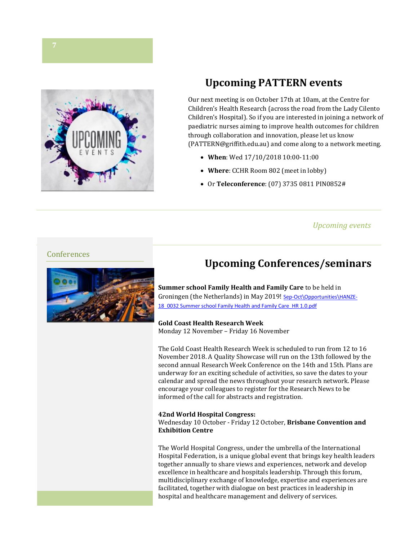

# **Upcoming PATTERN events**

Our next meeting is on October 17th at 10am, at the Centre for Children's Health Research (across the road from the Lady Cilento Children's Hospital). So if you are interested in joining a network of paediatric nurses aiming to improve health outcomes for children through collaboration and innovation, please let us know (PATTERN@griffith.edu.au) and come along to a network meeting.

- **When**: Wed 17/10/2018 10:00-11:00
- **Where**: CCHR Room 802 (meet in lobby)
- Or **Teleconference**: (07) 3735 0811 PIN0852#

#### *Upcoming events*

#### Conferences



# **Upcoming Conferences/seminars**

**Summer school Family Health and Family Care** to be held in Groningen (the Netherlands) in May 2019! [Sep-Oct\Opportunities\HANZE-](../../../../Downloads/Sep-Oct/Opportunities/HANZE-18_0032%20Summer%20school%20Family%20Health%20and%20Family%20Care_HR%201.0.pdf)18\_0032 Summer school [Family Health and Family Care\\_HR 1.0.pdf](../../../../Downloads/Sep-Oct/Opportunities/HANZE-18_0032%20Summer%20school%20Family%20Health%20and%20Family%20Care_HR%201.0.pdf)

**Gold Coast Health Research Week** Monday 12 November – Friday 16 November

The Gold Coast Health Research Week is scheduled to run from 12 to 16 November 2018. A Quality Showcase will run on the 13th followed by the second annual Research Week Conference on the 14th and 15th. Plans are underway for an exciting schedule of activities, so save the dates to your calendar and spread the news throughout your research network. Please encourage your colleagues to register for the Research News to be informed of the call for abstracts and registration.

#### **42nd World Hospital Congress:**

Wednesday 10 October - Friday 12 October, **Brisbane Convention and Exhibition Centre**

The World Hospital Congress, under the umbrella of the International Hospital Federation, is a unique global event that brings key health leaders together annually to share views and experiences, network and develop excellence in healthcare and hospitals leadership. Through this forum, multidisciplinary exchange of knowledge, expertise and experiences are facilitated, together with dialogue on best practices in leadership in hospital and healthcare management and delivery of services.